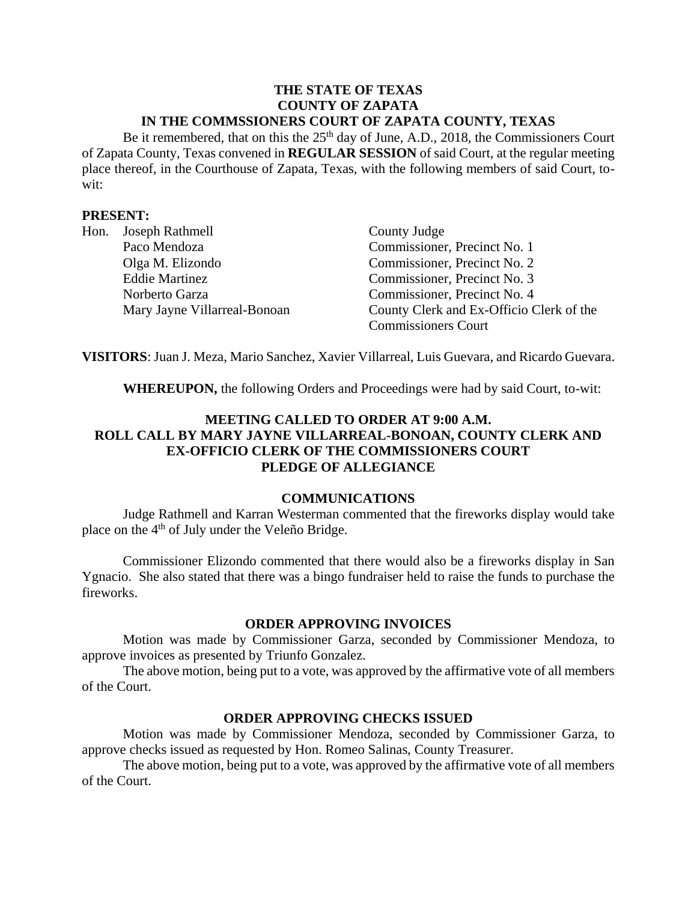#### **THE STATE OF TEXAS COUNTY OF ZAPATA IN THE COMMSSIONERS COURT OF ZAPATA COUNTY, TEXAS**

Be it remembered, that on this the  $25<sup>th</sup>$  day of June, A.D., 2018, the Commissioners Court of Zapata County, Texas convened in **REGULAR SESSION** of said Court, at the regular meeting place thereof, in the Courthouse of Zapata, Texas, with the following members of said Court, towit:

### **PRESENT:**

| Hon. | Joseph Rathmell              | County Judge                             |
|------|------------------------------|------------------------------------------|
|      | Paco Mendoza                 | Commissioner, Precinct No. 1             |
|      | Olga M. Elizondo             | Commissioner, Precinct No. 2             |
|      | <b>Eddie Martinez</b>        | Commissioner, Precinct No. 3             |
|      | Norberto Garza               | Commissioner, Precinct No. 4             |
|      | Mary Jayne Villarreal-Bonoan | County Clerk and Ex-Officio Clerk of the |
|      |                              | <b>Commissioners Court</b>               |

**VISITORS**: Juan J. Meza, Mario Sanchez, Xavier Villarreal, Luis Guevara, and Ricardo Guevara.

**WHEREUPON,** the following Orders and Proceedings were had by said Court, to-wit:

# **MEETING CALLED TO ORDER AT 9:00 A.M. ROLL CALL BY MARY JAYNE VILLARREAL-BONOAN, COUNTY CLERK AND EX-OFFICIO CLERK OF THE COMMISSIONERS COURT PLEDGE OF ALLEGIANCE**

### **COMMUNICATIONS**

Judge Rathmell and Karran Westerman commented that the fireworks display would take place on the 4<sup>th</sup> of July under the Veleño Bridge.

Commissioner Elizondo commented that there would also be a fireworks display in San Ygnacio. She also stated that there was a bingo fundraiser held to raise the funds to purchase the fireworks.

#### **ORDER APPROVING INVOICES**

Motion was made by Commissioner Garza, seconded by Commissioner Mendoza, to approve invoices as presented by Triunfo Gonzalez.

The above motion, being put to a vote, was approved by the affirmative vote of all members of the Court.

### **ORDER APPROVING CHECKS ISSUED**

Motion was made by Commissioner Mendoza, seconded by Commissioner Garza, to approve checks issued as requested by Hon. Romeo Salinas, County Treasurer.

The above motion, being put to a vote, was approved by the affirmative vote of all members of the Court.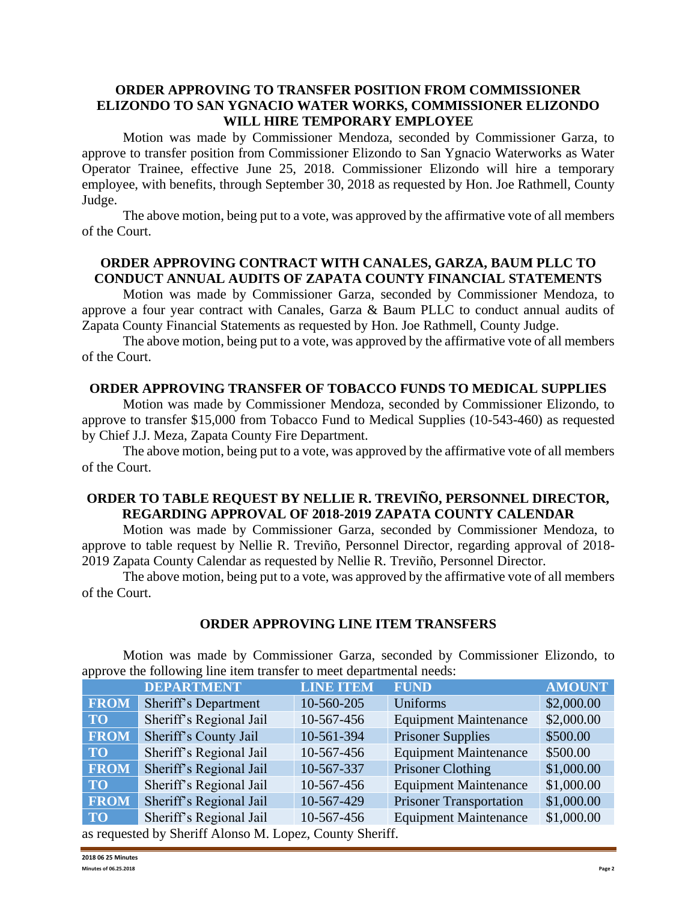### **ORDER APPROVING TO TRANSFER POSITION FROM COMMISSIONER ELIZONDO TO SAN YGNACIO WATER WORKS, COMMISSIONER ELIZONDO WILL HIRE TEMPORARY EMPLOYEE**

Motion was made by Commissioner Mendoza, seconded by Commissioner Garza, to approve to transfer position from Commissioner Elizondo to San Ygnacio Waterworks as Water Operator Trainee, effective June 25, 2018. Commissioner Elizondo will hire a temporary employee, with benefits, through September 30, 2018 as requested by Hon. Joe Rathmell, County Judge.

The above motion, being put to a vote, was approved by the affirmative vote of all members of the Court.

# **ORDER APPROVING CONTRACT WITH CANALES, GARZA, BAUM PLLC TO CONDUCT ANNUAL AUDITS OF ZAPATA COUNTY FINANCIAL STATEMENTS**

Motion was made by Commissioner Garza, seconded by Commissioner Mendoza, to approve a four year contract with Canales, Garza & Baum PLLC to conduct annual audits of Zapata County Financial Statements as requested by Hon. Joe Rathmell, County Judge.

The above motion, being put to a vote, was approved by the affirmative vote of all members of the Court.

### **ORDER APPROVING TRANSFER OF TOBACCO FUNDS TO MEDICAL SUPPLIES**

Motion was made by Commissioner Mendoza, seconded by Commissioner Elizondo, to approve to transfer \$15,000 from Tobacco Fund to Medical Supplies (10-543-460) as requested by Chief J.J. Meza, Zapata County Fire Department.

The above motion, being put to a vote, was approved by the affirmative vote of all members of the Court.

# **ORDER TO TABLE REQUEST BY NELLIE R. TREVIÑO, PERSONNEL DIRECTOR, REGARDING APPROVAL OF 2018-2019 ZAPATA COUNTY CALENDAR**

Motion was made by Commissioner Garza, seconded by Commissioner Mendoza, to approve to table request by Nellie R. Treviño, Personnel Director, regarding approval of 2018- 2019 Zapata County Calendar as requested by Nellie R. Treviño, Personnel Director.

The above motion, being put to a vote, was approved by the affirmative vote of all members of the Court.

### **ORDER APPROVING LINE ITEM TRANSFERS**

Motion was made by Commissioner Garza, seconded by Commissioner Elizondo, to approve the following line item transfer to meet departmental needs:

|                                                          | <b>DEPARTMENT</b>       | <b>LINE ITEM</b> | <b>FUND</b>                    | <b>AMOUNT</b> |
|----------------------------------------------------------|-------------------------|------------------|--------------------------------|---------------|
| <b>FROM</b>                                              | Sheriff's Department    | 10-560-205       | Uniforms                       | \$2,000.00    |
| <b>TO</b>                                                | Sheriff's Regional Jail | 10-567-456       | <b>Equipment Maintenance</b>   | \$2,000.00    |
| <b>FROM</b>                                              | Sheriff's County Jail   | 10-561-394       | <b>Prisoner Supplies</b>       | \$500.00      |
| TO T                                                     | Sheriff's Regional Jail | 10-567-456       | <b>Equipment Maintenance</b>   | \$500.00      |
| <b>FROM</b>                                              | Sheriff's Regional Jail | 10-567-337       | Prisoner Clothing              | \$1,000.00    |
| TO                                                       | Sheriff's Regional Jail | 10-567-456       | <b>Equipment Maintenance</b>   | \$1,000.00    |
| <b>FROM</b>                                              | Sheriff's Regional Jail | 10-567-429       | <b>Prisoner Transportation</b> | \$1,000.00    |
| <b>TO</b>                                                | Sheriff's Regional Jail | 10-567-456       | <b>Equipment Maintenance</b>   | \$1,000.00    |
| as requested by Sheriff Alonso M. Lopez, County Sheriff. |                         |                  |                                |               |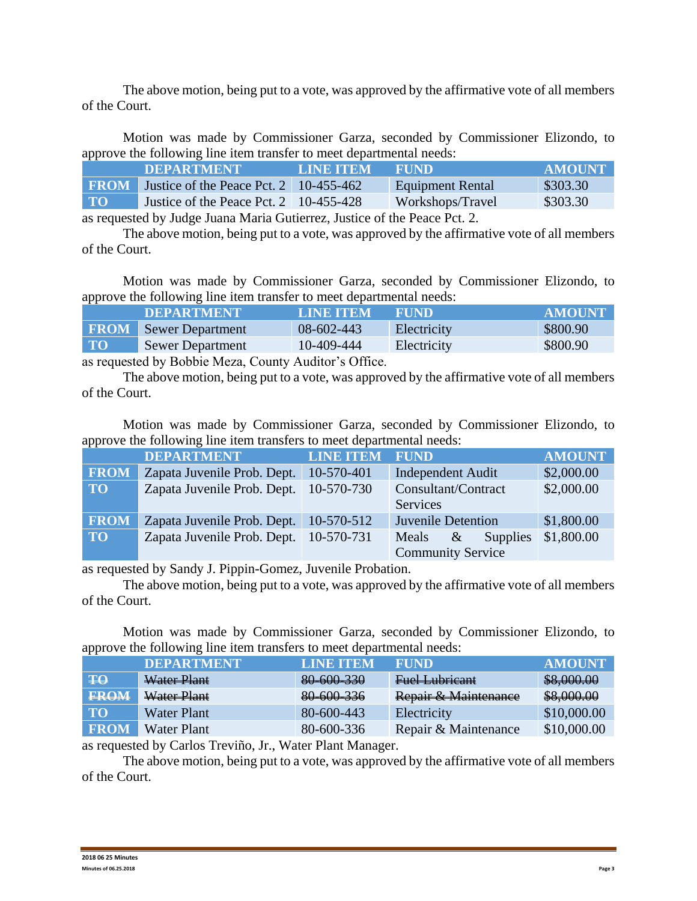The above motion, being put to a vote, was approved by the affirmative vote of all members of the Court.

Motion was made by Commissioner Garza, seconded by Commissioner Elizondo, to approve the following line item transfer to meet departmental needs:

|                   | <b>DEPARTMENT</b>                                                                 | <b>LINE ITEM</b> | <b>FUND</b>      | AMOUNT   |
|-------------------|-----------------------------------------------------------------------------------|------------------|------------------|----------|
| <b>FROM</b>       | Justice of the Peace Pct. 2   10-455-462                                          |                  | Equipment Rental | \$303.30 |
| $\mathbf{TO}_{1}$ | Justice of the Peace Pct. $2 \quad 10-455-428$                                    |                  | Workshops/Travel | \$303.30 |
|                   | $\cdot$ 11 T 1 T 1 T $\cdot$ $\alpha$ $\cdot$ T $\cdot$ $\cdot$ $\alpha$ $\alpha$ |                  |                  |          |

as requested by Judge Juana Maria Gutierrez, Justice of the Peace Pct. 2.

The above motion, being put to a vote, was approved by the affirmative vote of all members of the Court.

Motion was made by Commissioner Garza, seconded by Commissioner Elizondo, to approve the following line item transfer to meet departmental needs:

|             | <b>DEPARTMENT</b>       | LINE ITEM  | <b>FUND</b> | <b>AMOUNT</b> |
|-------------|-------------------------|------------|-------------|---------------|
| <b>FROM</b> | <b>Sewer Department</b> | 08-602-443 | Electricity | \$800.90      |
| $\bf{TO}$   | <b>Sewer Department</b> | 10-409-444 | Electricity | \$800.90      |
|             |                         |            |             |               |

as requested by Bobbie Meza, County Auditor's Office.

The above motion, being put to a vote, was approved by the affirmative vote of all members of the Court.

Motion was made by Commissioner Garza, seconded by Commissioner Elizondo, to approve the following line item transfers to meet departmental needs:

|             | <b>DEPARTMENT</b>                        | <b>LINE ITEM FUND</b> |                                      | <b>AMOUNT</b> |
|-------------|------------------------------------------|-----------------------|--------------------------------------|---------------|
| <b>FROM</b> | Zapata Juvenile Prob. Dept.              | 10-570-401            | <b>Independent Audit</b>             | \$2,000.00    |
| TO          | Zapata Juvenile Prob. Dept.              | 10-570-730            | Consultant/Contract                  | \$2,000.00    |
|             |                                          |                       | Services                             |               |
| <b>FROM</b> | Zapata Juvenile Prob. Dept.   10-570-512 |                       | <b>Juvenile Detention</b>            | \$1,800.00    |
| <b>TO</b>   | Zapata Juvenile Prob. Dept.              | 10-570-731            | <b>Supplies</b><br>$\alpha$<br>Meals | \$1,800.00    |
|             |                                          |                       | <b>Community Service</b>             |               |

as requested by Sandy J. Pippin-Gomez, Juvenile Probation.

The above motion, being put to a vote, was approved by the affirmative vote of all members of the Court.

Motion was made by Commissioner Garza, seconded by Commissioner Elizondo, to approve the following line item transfers to meet departmental needs:

|              | <b>DEPARTMENT</b>  | <b>LINE ITEM</b> | <b>FUND</b>          | <b>AMOUNT</b> |
|--------------|--------------------|------------------|----------------------|---------------|
| $\mathbf{H}$ | Water Plant        | 80-600-330       | Fuel Lubricant       | \$8,000.00    |
| <b>FROM</b>  | Water Plant        | 80-600-336       | Repair & Maintenance | \$8,000.00    |
| <b>TO</b>    | <b>Water Plant</b> | 80-600-443       | Electricity          | \$10,000.00   |
| <b>FROM</b>  | <b>Water Plant</b> | 80-600-336       | Repair & Maintenance | \$10,000.00   |

as requested by Carlos Treviño, Jr., Water Plant Manager.

The above motion, being put to a vote, was approved by the affirmative vote of all members of the Court.